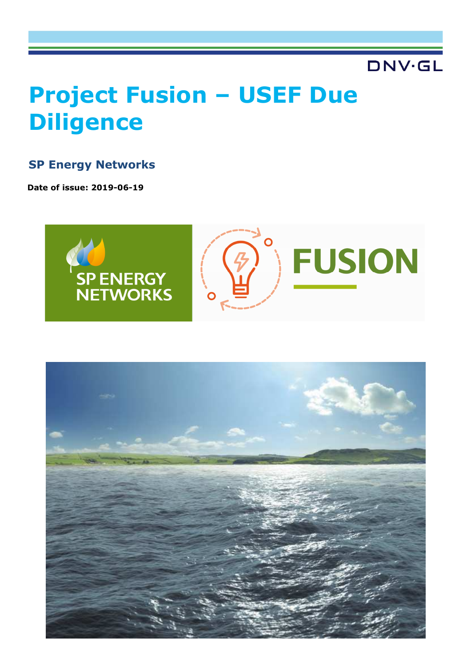# **DNV·GL**

# **Project Fusion – USEF Due Diligence**

# **SP Energy Networks**

**Date of issue: 2019-06-19**



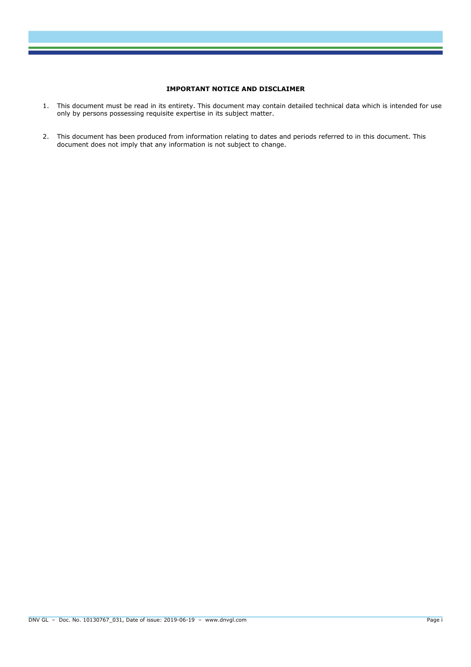#### **IMPORTANT NOTICE AND DISCLAIMER**

- 1. This document must be read in its entirety. This document may contain detailed technical data which is intended for use only by persons possessing requisite expertise in its subject matter.
- 2. This document has been produced from information relating to dates and periods referred to in this document. This document does not imply that any information is not subject to change.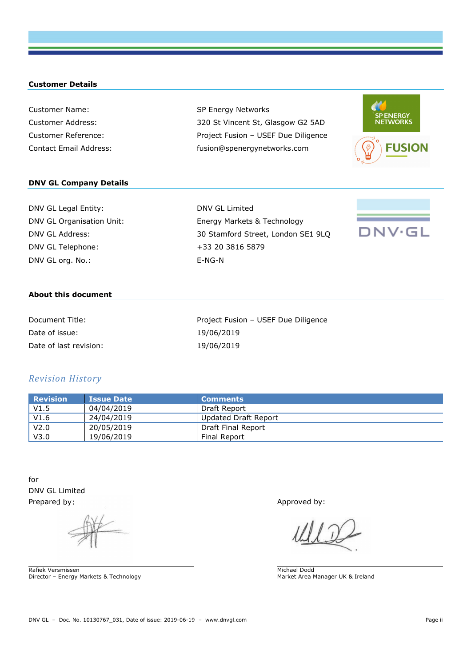#### **Customer Details**

Customer Name: SP Energy Networks Customer Address: 320 St Vincent St, Glasgow G2 5AD Customer Reference: Project Fusion – USEF Due Diligence Contact Email Address: fusion@spenergynetworks.com



#### **DNV GL Company Details**

| DNV GL Legal Entity:      |
|---------------------------|
| DNV GL Organisation Unit: |
| DNV GL Address:           |
| DNV GL Telephone:         |
| DNV GL org. No.:          |

DNV GL Limited Energy Markets & Technology 30 Stamford Street, London SE1 9LQ +33 20 3816 5879  $E-NG-N$ 



#### **About this document**

| Document Title:        | Project Fusion - USEF Due Diligence |
|------------------------|-------------------------------------|
| Date of issue:         | 19/06/2019                          |
| Date of last revision: | 19/06/2019                          |

#### *Revision History*

| Revision         | <b>Issue Date</b> | l Comments <sub>i</sub> |
|------------------|-------------------|-------------------------|
| V1.5             | 04/04/2019        | Draft Report            |
| V1.6             | 24/04/2019        | Updated Draft Report    |
| V <sub>2.0</sub> | 20/05/2019        | Draft Final Report      |
| V3.0             | 19/06/2019        | Final Report            |

for DNV GL Limited Prepared by: Approved by: Approved by: Approved by: Approved by: Approved by: Approved by: Approved by: Approved by: Approved by: Approved by: Approved by: Approved by: Approved by: Approved by: Approved by: Approved by: A

Rafiek Versmissen Director – Energy Markets & Technology

Michael Dodd Market Area Manager UK & Ireland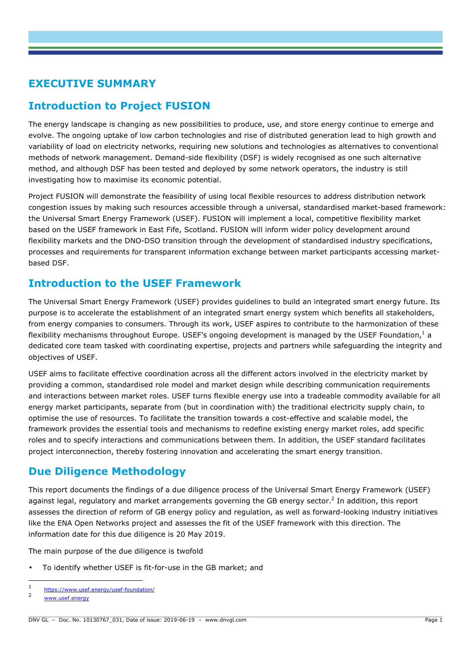# **EXECUTIVE SUMMARY**

# **Introduction to Project FUSION**

The energy landscape is changing as new possibilities to produce, use, and store energy continue to emerge and evolve. The ongoing uptake of low carbon technologies and rise of distributed generation lead to high growth and variability of load on electricity networks, requiring new solutions and technologies as alternatives to conventional methods of network management. Demand-side flexibility (DSF) is widely recognised as one such alternative method, and although DSF has been tested and deployed by some network operators, the industry is still investigating how to maximise its economic potential.

Project FUSION will demonstrate the feasibility of using local flexible resources to address distribution network congestion issues by making such resources accessible through a universal, standardised market-based framework: the Universal Smart Energy Framework (USEF). FUSION will implement a local, competitive flexibility market based on the USEF framework in East Fife, Scotland. FUSION will inform wider policy development around flexibility markets and the DNO-DSO transition through the development of standardised industry specifications, processes and requirements for transparent information exchange between market participants accessing marketbased DSF.

# **Introduction to the USEF Framework**

The Universal Smart Energy Framework (USEF) provides guidelines to build an integrated smart energy future. Its purpose is to accelerate the establishment of an integrated smart energy system which benefits all stakeholders, from energy companies to consumers. Through its work, USEF aspires to contribute to the harmonization of these flexibility mechanisms throughout Europe. USEF's ongoing development is managed by the USEF Foundation,  $^{1}$  a dedicated core team tasked with coordinating expertise, projects and partners while safeguarding the integrity and objectives of USEF.

USEF aims to facilitate effective coordination across all the different actors involved in the electricity market by providing a common, standardised role model and market design while describing communication requirements and interactions between market roles. USEF turns flexible energy use into a tradeable commodity available for all energy market participants, separate from (but in coordination with) the traditional electricity supply chain, to optimise the use of resources. To facilitate the transition towards a cost-effective and scalable model, the framework provides the essential tools and mechanisms to redefine existing energy market roles, add specific roles and to specify interactions and communications between them. In addition, the USEF standard facilitates project interconnection, thereby fostering innovation and accelerating the smart energy transition.

# **Due Diligence Methodology**

This report documents the findings of a due diligence process of the Universal Smart Energy Framework (USEF) against legal, regulatory and market arrangements governing the GB energy sector.<sup>2</sup> In addition, this report assesses the direction of reform of GB energy policy and regulation, as well as forward-looking industry initiatives like the ENA Open Networks project and assesses the fit of the USEF framework with this direction. The information date for this due diligence is 20 May 2019.

The main purpose of the due diligence is twofold

• To identify whether USEF is fit-for-use in the GB market; and

 $\frac{1}{1}$ https://www.usef.energy/usef-foundation/

<sup>2</sup> www.usef.energy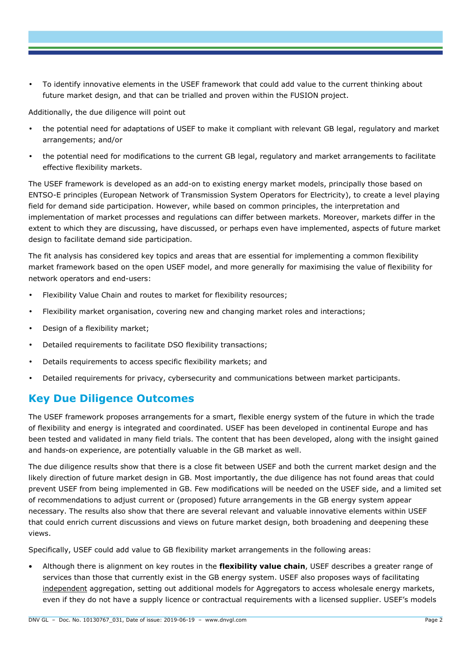• To identify innovative elements in the USEF framework that could add value to the current thinking about future market design, and that can be trialled and proven within the FUSION project.

Additionally, the due diligence will point out

- the potential need for adaptations of USEF to make it compliant with relevant GB legal, regulatory and market arrangements; and/or
- the potential need for modifications to the current GB legal, regulatory and market arrangements to facilitate effective flexibility markets.

The USEF framework is developed as an add-on to existing energy market models, principally those based on ENTSO-E principles (European Network of Transmission System Operators for Electricity), to create a level playing field for demand side participation. However, while based on common principles, the interpretation and implementation of market processes and regulations can differ between markets. Moreover, markets differ in the extent to which they are discussing, have discussed, or perhaps even have implemented, aspects of future market design to facilitate demand side participation.

The fit analysis has considered key topics and areas that are essential for implementing a common flexibility market framework based on the open USEF model, and more generally for maximising the value of flexibility for network operators and end-users:

- Flexibility Value Chain and routes to market for flexibility resources;
- Flexibility market organisation, covering new and changing market roles and interactions;
- Design of a flexibility market:
- Detailed requirements to facilitate DSO flexibility transactions;
- Details requirements to access specific flexibility markets; and
- Detailed requirements for privacy, cybersecurity and communications between market participants.

### **Key Due Diligence Outcomes**

The USEF framework proposes arrangements for a smart, flexible energy system of the future in which the trade of flexibility and energy is integrated and coordinated. USEF has been developed in continental Europe and has been tested and validated in many field trials. The content that has been developed, along with the insight gained and hands-on experience, are potentially valuable in the GB market as well.

The due diligence results show that there is a close fit between USEF and both the current market design and the likely direction of future market design in GB. Most importantly, the due diligence has not found areas that could prevent USEF from being implemented in GB. Few modifications will be needed on the USEF side, and a limited set of recommendations to adjust current or (proposed) future arrangements in the GB energy system appear necessary. The results also show that there are several relevant and valuable innovative elements within USEF that could enrich current discussions and views on future market design, both broadening and deepening these views.

Specifically, USEF could add value to GB flexibility market arrangements in the following areas:

• Although there is alignment on key routes in the **flexibility value chain**, USEF describes a greater range of services than those that currently exist in the GB energy system. USEF also proposes ways of facilitating independent aggregation, setting out additional models for Aggregators to access wholesale energy markets, even if they do not have a supply licence or contractual requirements with a licensed supplier. USEF's models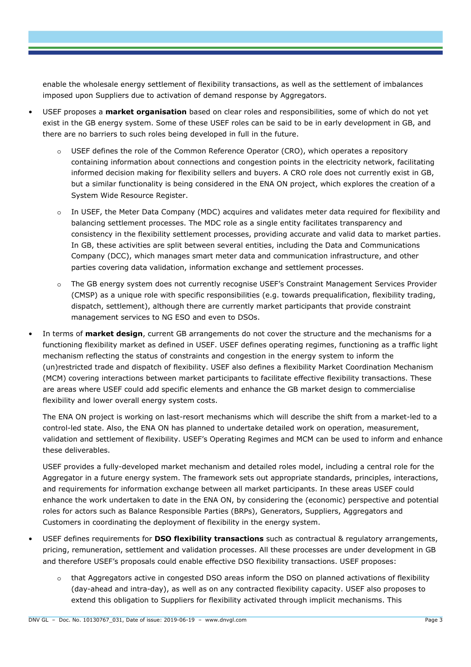enable the wholesale energy settlement of flexibility transactions, as well as the settlement of imbalances imposed upon Suppliers due to activation of demand response by Aggregators.

- USEF proposes a **market organisation** based on clear roles and responsibilities, some of which do not yet exist in the GB energy system. Some of these USEF roles can be said to be in early development in GB, and there are no barriers to such roles being developed in full in the future.
	- USEF defines the role of the Common Reference Operator (CRO), which operates a repository containing information about connections and congestion points in the electricity network, facilitating informed decision making for flexibility sellers and buyers. A CRO role does not currently exist in GB, but a similar functionality is being considered in the ENA ON project, which explores the creation of a System Wide Resource Register.
	- o In USEF, the Meter Data Company (MDC) acquires and validates meter data required for flexibility and balancing settlement processes. The MDC role as a single entity facilitates transparency and consistency in the flexibility settlement processes, providing accurate and valid data to market parties. In GB, these activities are split between several entities, including the Data and Communications Company (DCC), which manages smart meter data and communication infrastructure, and other parties covering data validation, information exchange and settlement processes.
	- The GB energy system does not currently recognise USEF's Constraint Management Services Provider (CMSP) as a unique role with specific responsibilities (e.g. towards prequalification, flexibility trading, dispatch, settlement), although there are currently market participants that provide constraint management services to NG ESO and even to DSOs.
- In terms of **market design**, current GB arrangements do not cover the structure and the mechanisms for a functioning flexibility market as defined in USEF. USEF defines operating regimes, functioning as a traffic light mechanism reflecting the status of constraints and congestion in the energy system to inform the (un)restricted trade and dispatch of flexibility. USEF also defines a flexibility Market Coordination Mechanism (MCM) covering interactions between market participants to facilitate effective flexibility transactions. These are areas where USEF could add specific elements and enhance the GB market design to commercialise flexibility and lower overall energy system costs.

The ENA ON project is working on last-resort mechanisms which will describe the shift from a market-led to a control-led state. Also, the ENA ON has planned to undertake detailed work on operation, measurement, validation and settlement of flexibility. USEF's Operating Regimes and MCM can be used to inform and enhance these deliverables.

USEF provides a fully-developed market mechanism and detailed roles model, including a central role for the Aggregator in a future energy system. The framework sets out appropriate standards, principles, interactions, and requirements for information exchange between all market participants. In these areas USEF could enhance the work undertaken to date in the ENA ON, by considering the (economic) perspective and potential roles for actors such as Balance Responsible Parties (BRPs), Generators, Suppliers, Aggregators and Customers in coordinating the deployment of flexibility in the energy system.

- USEF defines requirements for **DSO flexibility transactions** such as contractual & regulatory arrangements, pricing, remuneration, settlement and validation processes. All these processes are under development in GB and therefore USEF's proposals could enable effective DSO flexibility transactions. USEF proposes:
	- that Aggregators active in congested DSO areas inform the DSO on planned activations of flexibility (day-ahead and intra-day), as well as on any contracted flexibility capacity. USEF also proposes to extend this obligation to Suppliers for flexibility activated through implicit mechanisms. This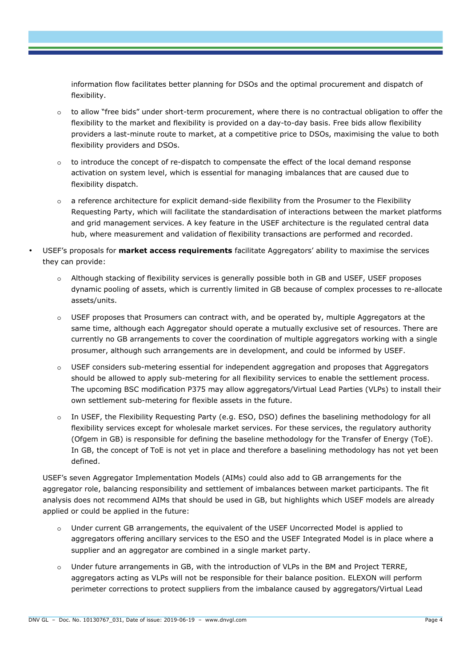information flow facilitates better planning for DSOs and the optimal procurement and dispatch of flexibility.

- o to allow "free bids" under short-term procurement, where there is no contractual obligation to offer the flexibility to the market and flexibility is provided on a day-to-day basis. Free bids allow flexibility providers a last-minute route to market, at a competitive price to DSOs, maximising the value to both flexibility providers and DSOs.
- o to introduce the concept of re-dispatch to compensate the effect of the local demand response activation on system level, which is essential for managing imbalances that are caused due to flexibility dispatch.
- o a reference architecture for explicit demand-side flexibility from the Prosumer to the Flexibility Requesting Party, which will facilitate the standardisation of interactions between the market platforms and grid management services. A key feature in the USEF architecture is the regulated central data hub, where measurement and validation of flexibility transactions are performed and recorded.
- USEF's proposals for **market access requirements** facilitate Aggregators' ability to maximise the services they can provide:
	- o Although stacking of flexibility services is generally possible both in GB and USEF, USEF proposes dynamic pooling of assets, which is currently limited in GB because of complex processes to re-allocate assets/units.
	- o USEF proposes that Prosumers can contract with, and be operated by, multiple Aggregators at the same time, although each Aggregator should operate a mutually exclusive set of resources. There are currently no GB arrangements to cover the coordination of multiple aggregators working with a single prosumer, although such arrangements are in development, and could be informed by USEF.
	- o USEF considers sub-metering essential for independent aggregation and proposes that Aggregators should be allowed to apply sub-metering for all flexibility services to enable the settlement process. The upcoming BSC modification P375 may allow aggregators/Virtual Lead Parties (VLPs) to install their own settlement sub-metering for flexible assets in the future.
	- o In USEF, the Flexibility Requesting Party (e.g. ESO, DSO) defines the baselining methodology for all flexibility services except for wholesale market services. For these services, the regulatory authority (Ofgem in GB) is responsible for defining the baseline methodology for the Transfer of Energy (ToE). In GB, the concept of ToE is not yet in place and therefore a baselining methodology has not yet been defined.

USEF's seven Aggregator Implementation Models (AIMs) could also add to GB arrangements for the aggregator role, balancing responsibility and settlement of imbalances between market participants. The fit analysis does not recommend AIMs that should be used in GB, but highlights which USEF models are already applied or could be applied in the future:

- o Under current GB arrangements, the equivalent of the USEF Uncorrected Model is applied to aggregators offering ancillary services to the ESO and the USEF Integrated Model is in place where a supplier and an aggregator are combined in a single market party.
- o Under future arrangements in GB, with the introduction of VLPs in the BM and Project TERRE, aggregators acting as VLPs will not be responsible for their balance position. ELEXON will perform perimeter corrections to protect suppliers from the imbalance caused by aggregators/Virtual Lead